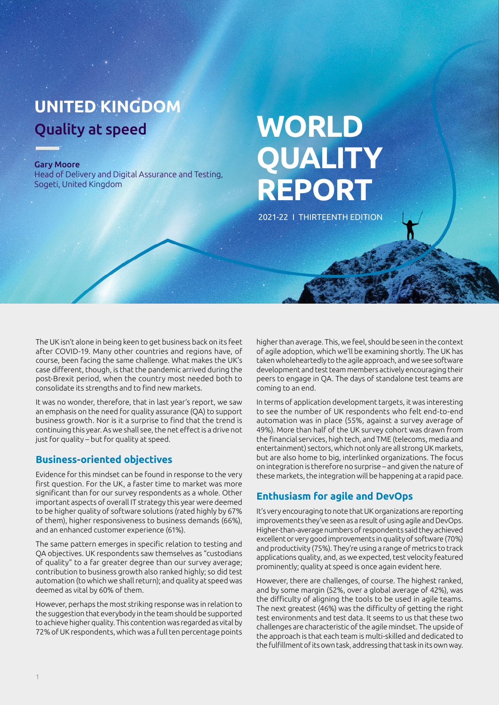## **UNITED KINGDOM** Quality at speed

#### Gary Moore

Head of Delivery and Digital Assurance and Testing, Sogeti, United Kingdom

# **WORLD QUALITY REPORT**

2021-22 I THIRTEENTH EDITION

The UK isn't alone in being keen to get business back on its feet after COVID-19. Many other countries and regions have, of course, been facing the same challenge. What makes the UK's case different, though, is that the pandemic arrived during the post-Brexit period, when the country most needed both to consolidate its strengths and to find new markets.

It was no wonder, therefore, that in last year's report, we saw an emphasis on the need for quality assurance (QA) to support business growth. Nor is it a surprise to find that the trend is continuing this year. As we shall see, the net effect is a drive not just for quality – but for quality at speed.

#### **Business-oriented objectives**

Evidence for this mindset can be found in response to the very first question. For the UK, a faster time to market was more significant than for our survey respondents as a whole. Other important aspects of overall IT strategy this year were deemed to be higher quality of software solutions (rated highly by 67% of them), higher responsiveness to business demands (66%), and an enhanced customer experience (61%).

The same pattern emerges in specific relation to testing and QA objectives. UK respondents saw themselves as "custodians of quality" to a far greater degree than our survey average; contribution to business growth also ranked highly; so did test automation (to which we shall return); and quality at speed was deemed as vital by 60% of them.

However, perhaps the most striking response was in relation to the suggestion that everybody in the team should be supported to achieve higher quality. This contention was regarded as vital by 72% of UK respondents, which was a full ten percentage points higher than average. This, we feel, should be seen in the context of agile adoption, which we'll be examining shortly. The UK has taken wholeheartedly to the agile approach, and we see software development and test team members actively encouraging their peers to engage in QA. The days of standalone test teams are coming to an end.

In terms of application development targets, it was interesting to see the number of UK respondents who felt end-to-end automation was in place (55%, against a survey average of 49%). More than half of the UK survey cohort was drawn from the financial services, high tech, and TME (telecoms, media and entertainment) sectors, which not only are all strong UK markets, but are also home to big, interlinked organizations. The focus on integration is therefore no surprise – and given the nature of these markets, the integration will be happening at a rapid pace.

#### **Enthusiasm for agile and DevOps**

It's very encouraging to note that UK organizations are reporting improvements they've seen as a result of using agile and DevOps. Higher-than-average numbers of respondents said they achieved excellent or very good improvements in quality of software (70%) and productivity (75%). They're using a range of metrics to track applications quality, and, as we expected, test velocity featured prominently; quality at speed is once again evident here.

However, there are challenges, of course. The highest ranked, and by some margin (52%, over a global average of 42%), was the difficulty of aligning the tools to be used in agile teams. The next greatest (46%) was the difficulty of getting the right test environments and test data. It seems to us that these two challenges are characteristic of the agile mindset. The upside of the approach is that each team is multi-skilled and dedicated to the fulfillment of its own task, addressing that task in its own way.